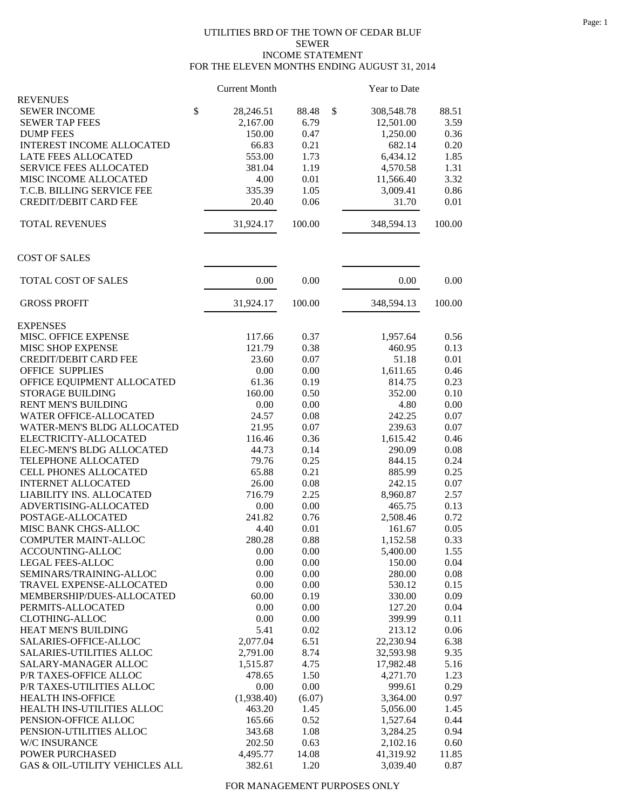## UTILITIES BRD OF THE TOWN OF CEDAR BLUF SEWER INCOME STATEMENT FOR THE ELEVEN MONTHS ENDING AUGUST 31, 2014

|                                   | <b>Current Month</b> |        | Year to Date     |        |
|-----------------------------------|----------------------|--------|------------------|--------|
| <b>REVENUES</b>                   |                      |        |                  |        |
| <b>SEWER INCOME</b>               | \$<br>28,246.51      | 88.48  | \$<br>308,548.78 | 88.51  |
| <b>SEWER TAP FEES</b>             | 2,167.00             | 6.79   | 12,501.00        | 3.59   |
| <b>DUMP FEES</b>                  | 150.00               | 0.47   | 1,250.00         | 0.36   |
| INTEREST INCOME ALLOCATED         | 66.83                | 0.21   | 682.14           | 0.20   |
| LATE FEES ALLOCATED               | 553.00               | 1.73   | 6,434.12         | 1.85   |
| <b>SERVICE FEES ALLOCATED</b>     | 381.04               | 1.19   | 4,570.58         | 1.31   |
| MISC INCOME ALLOCATED             | 4.00                 | 0.01   | 11,566.40        | 3.32   |
| T.C.B. BILLING SERVICE FEE        | 335.39               | 1.05   | 3,009.41         | 0.86   |
| <b>CREDIT/DEBIT CARD FEE</b>      | 20.40                | 0.06   | 31.70            | 0.01   |
| <b>TOTAL REVENUES</b>             | 31,924.17            | 100.00 | 348,594.13       | 100.00 |
| <b>COST OF SALES</b>              |                      |        |                  |        |
| TOTAL COST OF SALES               | 0.00                 | 0.00   | 0.00             | 0.00   |
| <b>GROSS PROFIT</b>               | 31,924.17            | 100.00 | 348,594.13       | 100.00 |
| <b>EXPENSES</b>                   |                      |        |                  |        |
| MISC. OFFICE EXPENSE              | 117.66               | 0.37   | 1,957.64         | 0.56   |
| <b>MISC SHOP EXPENSE</b>          | 121.79               | 0.38   | 460.95           | 0.13   |
| <b>CREDIT/DEBIT CARD FEE</b>      | 23.60                | 0.07   | 51.18            | 0.01   |
| <b>OFFICE SUPPLIES</b>            | 0.00                 | 0.00   | 1,611.65         | 0.46   |
| OFFICE EQUIPMENT ALLOCATED        | 61.36                | 0.19   | 814.75           | 0.23   |
| <b>STORAGE BUILDING</b>           | 160.00               | 0.50   | 352.00           | 0.10   |
| RENT MEN'S BUILDING               | 0.00                 | 0.00   | 4.80             | 0.00   |
| WATER OFFICE-ALLOCATED            | 24.57                | 0.08   | 242.25           | 0.07   |
| <b>WATER-MEN'S BLDG ALLOCATED</b> | 21.95                | 0.07   | 239.63           | 0.07   |
| ELECTRICITY-ALLOCATED             | 116.46               | 0.36   | 1,615.42         | 0.46   |
| ELEC-MEN'S BLDG ALLOCATED         | 44.73                | 0.14   | 290.09           | 0.08   |
| TELEPHONE ALLOCATED               | 79.76                | 0.25   | 844.15           | 0.24   |
| CELL PHONES ALLOCATED             | 65.88                | 0.21   | 885.99           | 0.25   |
| <b>INTERNET ALLOCATED</b>         | 26.00                | 0.08   | 242.15           | 0.07   |
| LIABILITY INS. ALLOCATED          | 716.79               | 2.25   | 8,960.87         | 2.57   |
| ADVERTISING-ALLOCATED             | 0.00                 | 0.00   | 465.75           | 0.13   |
| POSTAGE-ALLOCATED                 | 241.82               | 0.76   | 2,508.46         | 0.72   |
| MISC BANK CHGS-ALLOC              | 4.40                 | 0.01   | 161.67           | 0.05   |
| COMPUTER MAINT-ALLOC              | 280.28               | 0.88   | 1,152.58         | 0.33   |
|                                   |                      |        |                  |        |
| ACCOUNTING-ALLOC                  | 0.00                 | 0.00   | 5,400.00         | 1.55   |
| LEGAL FEES-ALLOC                  | 0.00                 | 0.00   | 150.00           | 0.04   |
| SEMINARS/TRAINING-ALLOC           | 0.00                 | 0.00   | 280.00           | 0.08   |
| TRAVEL EXPENSE-ALLOCATED          | 0.00                 | 0.00   | 530.12           | 0.15   |
| MEMBERSHIP/DUES-ALLOCATED         | 60.00                | 0.19   | 330.00           | 0.09   |
| PERMITS-ALLOCATED                 | 0.00                 | 0.00   | 127.20           | 0.04   |
| <b>CLOTHING-ALLOC</b>             | 0.00                 | 0.00   | 399.99           | 0.11   |
| HEAT MEN'S BUILDING               | 5.41                 | 0.02   | 213.12           | 0.06   |
| SALARIES-OFFICE-ALLOC             | 2,077.04             | 6.51   | 22,230.94        | 6.38   |
| SALARIES-UTILITIES ALLOC          | 2,791.00             | 8.74   | 32,593.98        | 9.35   |
| SALARY-MANAGER ALLOC              | 1,515.87             | 4.75   | 17,982.48        | 5.16   |
| P/R TAXES-OFFICE ALLOC            | 478.65               | 1.50   | 4,271.70         | 1.23   |
| P/R TAXES-UTILITIES ALLOC         | 0.00                 | 0.00   | 999.61           | 0.29   |
| <b>HEALTH INS-OFFICE</b>          | (1,938.40)           | (6.07) | 3,364.00         | 0.97   |
| HEALTH INS-UTILITIES ALLOC        | 463.20               | 1.45   | 5,056.00         | 1.45   |
| PENSION-OFFICE ALLOC              | 165.66               | 0.52   | 1,527.64         | 0.44   |
| PENSION-UTILITIES ALLOC           | 343.68               | 1.08   | 3,284.25         | 0.94   |
| W/C INSURANCE                     | 202.50               | 0.63   | 2,102.16         | 0.60   |
| POWER PURCHASED                   | 4,495.77             | 14.08  | 41,319.92        | 11.85  |
| GAS & OIL-UTILITY VEHICLES ALL    | 382.61               | 1.20   | 3,039.40         | 0.87   |